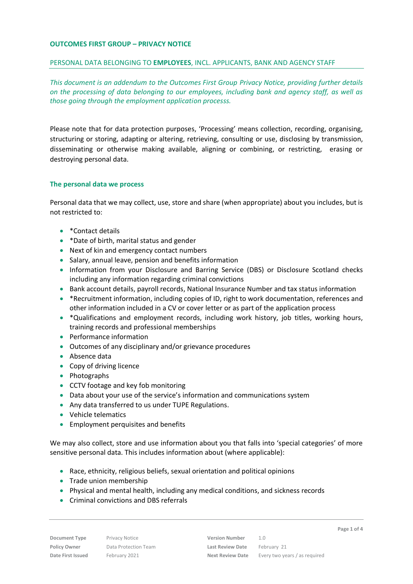### **OUTCOMES FIRST GROUP – PRIVACY NOTICE**

#### PERSONAL DATA BELONGING TO **EMPLOYEES**, INCL. APPLICANTS, BANK AND AGENCY STAFF

*This document is an addendum to the Outcomes First Group Privacy Notice, providing further details on the processing of data belonging to our employees, including bank and agency staff, as well as those going through the employment application processs.*

Please note that for data protection purposes, 'Processing' means collection, recording, organising, structuring or storing, adapting or altering, retrieving, consulting or use, disclosing by transmission, disseminating or otherwise making available, aligning or combining, or restricting, erasing or destroying personal data.

## **The personal data we process**

Personal data that we may collect, use, store and share (when appropriate) about you includes, but is not restricted to:

- \*Contact details
- \*Date of birth, marital status and gender
- Next of kin and emergency contact numbers
- Salary, annual leave, pension and benefits information
- Information from your Disclosure and Barring Service (DBS) or Disclosure Scotland checks including any information regarding criminal convictions
- Bank account details, payroll records, National Insurance Number and tax status information
- \* \*Recruitment information, including copies of ID, right to work documentation, references and other information included in a CV or cover letter or as part of the application process
- \*Qualifications and employment records, including work history, job titles, working hours, training records and professional memberships
- Performance information
- Outcomes of any disciplinary and/or grievance procedures
- Absence data
- Copy of driving licence
- Photographs
- CCTV footage and key fob monitoring
- Data about your use of the service's information and communications system
- Any data transferred to us under TUPE Regulations.
- Vehicle telematics
- **•** Employment perquisites and benefits

We may also collect, store and use information about you that falls into 'special categories' of more sensitive personal data. This includes information about (where applicable):

- Race, ethnicity, religious beliefs, sexual orientation and political opinions
- Trade union membership
- Physical and mental health, including any medical conditions, and sickness records
- Criminal convictions and DBS referrals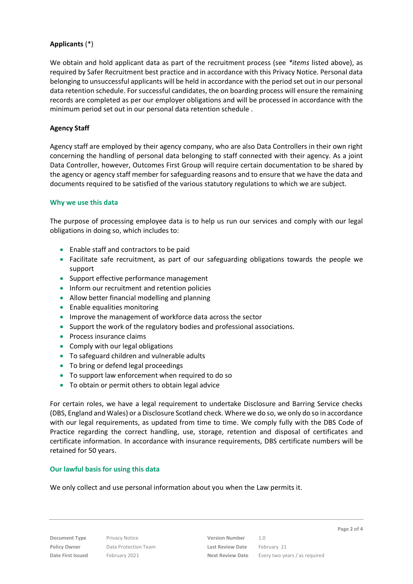## **Applicants** (\*)

We obtain and hold applicant data as part of the recruitment process (see *\*items* listed above), as required by Safer Recruitment best practice and in accordance with this Privacy Notice. Personal data belonging to unsuccessful applicants will be held in accordance with the period set out in our personal data retention schedule. For successful candidates, the on boarding process will ensure the remaining records are completed as per our employer obligations and will be processed in accordance with the minimum period set out in our personal data retention schedule .

# **Agency Staff**

Agency staff are employed by their agency company, who are also Data Controllers in their own right concerning the handling of personal data belonging to staff connected with their agency. As a joint Data Controller, however, Outcomes First Group will require certain documentation to be shared by the agency or agency staff member for safeguarding reasons and to ensure that we have the data and documents required to be satisfied of the various statutory regulations to which we are subject.

## **Why we use this data**

The purpose of processing employee data is to help us run our services and comply with our legal obligations in doing so, which includes to:

- Enable staff and contractors to be paid
- Facilitate safe recruitment, as part of our safeguarding obligations towards the people we support
- Support effective performance management
- Inform our recruitment and retention policies
- Allow better financial modelling and planning
- Enable equalities monitoring
- Improve the management of workforce data across the sector
- Support the work of the regulatory bodies and professional associations.
- Process insurance claims
- Comply with our legal obligations
- To safeguard children and vulnerable adults
- To bring or defend legal proceedings
- To support law enforcement when required to do so
- To obtain or permit others to obtain legal advice

For certain roles, we have a legal requirement to undertake Disclosure and Barring Service checks (DBS, England and Wales) or a Disclosure Scotland check. Where we do so, we only do so in accordance with our legal requirements, as updated from time to time. We comply fully with the DBS Code of Practice regarding the correct handling, use, storage, retention and disposal of certificates and certificate information. In accordance with insurance requirements, DBS certificate numbers will be retained for 50 years.

#### **Our lawful basis for using this data**

We only collect and use personal information about you when the Law permits it.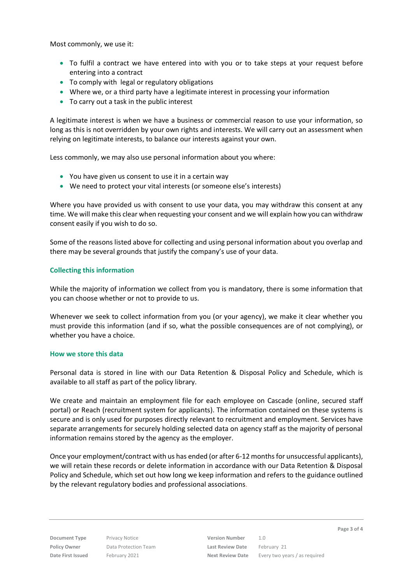Most commonly, we use it:

- To fulfil a contract we have entered into with you or to take steps at your request before entering into a contract
- To comply with legal or regulatory obligations
- Where we, or a third party have a legitimate interest in processing your information
- To carry out a task in the public interest

A legitimate interest is when we have a business or commercial reason to use your information, so long as this is not overridden by your own rights and interests. We will carry out an assessment when relying on legitimate interests, to balance our interests against your own.

Less commonly, we may also use personal information about you where:

- You have given us consent to use it in a certain way
- We need to protect your vital interests (or someone else's interests)

Where you have provided us with consent to use your data, you may withdraw this consent at any time. We will make this clear when requesting your consent and we will explain how you can withdraw consent easily if you wish to do so.

Some of the reasons listed above for collecting and using personal information about you overlap and there may be several grounds that justify the company's use of your data.

## **Collecting this information**

While the majority of information we collect from you is mandatory, there is some information that you can choose whether or not to provide to us.

Whenever we seek to collect information from you (or your agency), we make it clear whether you must provide this information (and if so, what the possible consequences are of not complying), or whether you have a choice.

#### **How we store this data**

Personal data is stored in line with our Data Retention & Disposal Policy and Schedule, which is available to all staff as part of the policy library.

We create and maintain an employment file for each employee on Cascade (online, secured staff portal) or Reach (recruitment system for applicants). The information contained on these systems is secure and is only used for purposes directly relevant to recruitment and employment. Services have separate arrangements for securely holding selected data on agency staff as the majority of personal information remains stored by the agency as the employer.

Once your employment/contract with us has ended (or after 6-12 months for unsuccessful applicants), we will retain these records or delete information in accordance with our Data Retention & Disposal Policy and Schedule, which set out how long we keep information and refers to the guidance outlined by the relevant regulatory bodies and professional associations*.*

**Document Type** Privacy Notice **Version Number** 1.0 **Policy Owner** Data Protection Team **Last Review Date** February 21

**Date First Issued** February 2021 **Next Review Date** Every two years / as required

**Page 3 of 4**